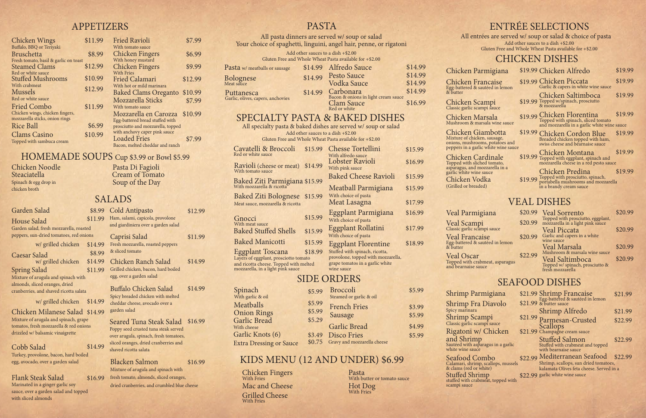#### APPETIZERS

## HOMEMADE SOUPS Cup \$3.99 or Bowl \$5.99

#### SALADS

#### VEAL DISHES

#### SEAFOOD DISHES

House Salad Garden salad, fresh i peppers, sun-dried to & butter

Chicken Scampi

Chicken Marsala

Cobb Salad Turkey, provolone, ba egg, avocado, over a

Spring Salad Mixture of arugula a almonds, sliced orang cranberries, and shay

 $w/g$ rille

 $w$ / grille

 $w/g$ rill

|                                                        | \$8.99  | Cold Antipasto                                                                                                                                     | \$12.99 |
|--------------------------------------------------------|---------|----------------------------------------------------------------------------------------------------------------------------------------------------|---------|
|                                                        | \$11.99 | Ham, salami, capicola, provolone                                                                                                                   |         |
| nozzarella, roasted                                    |         | and giardiniera over a garden salad                                                                                                                |         |
| matoes, red onions                                     |         | Caprisi Salad                                                                                                                                      | \$11.99 |
| ed chicken                                             | \$14.99 | Fresh mozzarella, roasted peppers                                                                                                                  |         |
|                                                        | \$8.99  | & sliced tomato                                                                                                                                    |         |
| ed chicken                                             | \$14.99 | Chicken Ranch Salad                                                                                                                                | \$14.99 |
|                                                        | \$11.99 | Grilled chicken, bacon, hard boiled                                                                                                                |         |
| nd spinach with                                        |         | egg, over a garden salad                                                                                                                           |         |
| ges, dried<br>red ricotta salata                       |         | Buffalo Chicken Salad                                                                                                                              | \$14.99 |
| ed chicken                                             | \$14.99 | Spicy breaded chicken with melted<br>cheddar cheese, avocado over a                                                                                |         |
| ese Salad \$14.99                                      |         | garden salad                                                                                                                                       |         |
| nd spinach, grape<br>rella & red onions<br>vinaigrette | \$14.99 | Seared Tuna Steak Salad<br>Poppy seed crusted tuna steak served<br>over arugula, spinach, fresh tomatoes,<br>sliced oranges, dried cranberries and | \$16.99 |
| acon, hard boiled                                      |         | shaved ricotta salata                                                                                                                              |         |
| garden salad                                           |         | <b>Blacken Salmon</b>                                                                                                                              | \$16.99 |
|                                                        |         |                                                                                                                                                    |         |

#### ENTRÉE SELECTIONS CHICKEN DISHES All entrées are served w/ soup or salad & choice of pasta Chicken Parmigiana Chicken Alfredo \$19.99 Chicken Francaise Egg-battered & sautéed in lemon Classic garlic scampi sauce Mushroom & marsala wine sauce \$19.99 Chicken Florentina Topped with spinach, sliced tomato and mozzarella in a garlic white wine sauce \$19.99 Chicken Piccata Garlic & capers in white wine sauce \$19.99 Chicken Cordon Blue Breaded chicken topped with ham, swiss cheese and béarnaise sauce Chicken Montana Topped with eggplant, spinach and mozzarella cheese in a red pesto sauce Chicken Predina Topped with prosciutto, spinach, \$19.99 Portabella mushrooms and mozzarella<br>portabella mushrooms and mozzarella in a brandy cream sauce \$19.99 Topped w/spinach, prosciutto \$19.99 \$19.99 \$19.99 \$19.99 \$19.99 \$19.99 \$19.99 \$19.99 Add other sauces to a dish +\$2.00 Gluten Free and Whole Wheat Pasta available for +\$2.00 Chicken Saltimboca & mozzarella Chicken Giambotta onions, mushrooms, potatoes and peppers in a garlic white wine sauce asparagus, and mozzarella in a

#### KIDS MENU (12 AND UNDER) \$6.99

Chicken Fingers With Fries Mac and Cheese Hot Dog<br>With Fries Grilled Cheese With Fries

Pasta With butter or tomato sauce

Chicken Noodle Steaciatella Spinach & egg drop in chicken broth

#### Shrimp Pa

Garden Salad

Chicken Milar Mixture of arugala an tomatos, fresh mozza drizzled w/ balsamic

Caesar Salad

| <b>Chicken Wings</b>                  | \$11.99 | <b>Fried Ravioli</b>              | \$7.99  |
|---------------------------------------|---------|-----------------------------------|---------|
| Buffalo, BBQ or Teriyaki              |         | With tomato sauce                 |         |
| <b>Bruschetta</b>                     | \$8.99  | <b>Chicken Fingers</b>            | \$6.99  |
| Fresh tomato, basil & garlic on toast |         | With honey mustard                |         |
| <b>Steamed Clams</b>                  | \$12.99 | <b>Chicken Fingers</b>            | \$9.99  |
| Red or white sauce                    |         | <b>With Fries</b>                 |         |
| <b>Stuffed Mushrooms</b>              | \$10.99 | <b>Fried Calamari</b>             | \$12.99 |
| With crabmeat                         | \$12.99 | With hot or mild marinara         |         |
| <b>Mussels</b>                        |         | <b>Baked Clams Oreganto</b>       | \$10.99 |
| Red or white sauce                    |         | Mozzarella Sticks                 | \$7.99  |
| <b>Fried Combo</b>                    | \$11.99 | With tomato sauce                 |         |
| Chicken wings, chicken fingers,       |         | Mozzarella en Carozza             | \$10.99 |
| mozzarella sticks, onion rings        |         | Egg-battered bread stuffed with   |         |
| <b>Rice Ball</b>                      | \$6.99  | prosciutto and mozzarella, topped |         |
| <b>Clams Casino</b>                   | \$10.99 | with anchovy caper pink sauce     |         |
| Topped with sambuca cream             |         | <b>Loaded Fries</b>               | \$7.99  |
|                                       |         | Bacon, melted cheddar and ranch   |         |

Pasta Di Fagioli Cream of Tomato Soup of the Day

> Seafood C Calamari, shri & clams (red or scampi sauce

| <b>PASTA</b>                                                                                               |         |                                                                                                         |         |  |
|------------------------------------------------------------------------------------------------------------|---------|---------------------------------------------------------------------------------------------------------|---------|--|
| All pasta dinners are served w/ soup or salad                                                              |         |                                                                                                         |         |  |
|                                                                                                            |         | Your choice of spaghetti, linguini, angel hair, penne, or rigatoni                                      |         |  |
|                                                                                                            |         | Add other sauces to a dish +\$2.00<br>Gluten Free and Whole Wheat Pasta available for $+$ \$2.00        |         |  |
| Pasta w/ meatballs or sausage                                                                              | \$14.99 | Alfredo Sauce                                                                                           | \$14.99 |  |
|                                                                                                            | \$14.99 | <b>Pesto Sauce</b>                                                                                      | \$14.99 |  |
| Bolognese<br>Meat sauce                                                                                    |         | Vodka Sauce                                                                                             | \$14.99 |  |
| Puttanesca                                                                                                 | \$14.99 | Carbonara<br>Bacon & onions in light cream sauce                                                        | \$14.99 |  |
| Garlic, olives, capers, anchovies                                                                          |         | Clam Sauce<br>Red or white                                                                              | \$16.99 |  |
|                                                                                                            |         | <b>SPECIALTY PASTA &amp; BAKED DISHES</b>                                                               |         |  |
|                                                                                                            |         | All specialty pasta & baked dishes are served w/ soup or salad                                          |         |  |
|                                                                                                            |         | Add other sauces to a dish +\$2.00<br>Gluten Free and Whole Wheat Pasta available for +\$2.00           |         |  |
| Cavatelli & Broccoli<br>Red or white sauce                                                                 | \$15.99 | <b>Chesse Tortellini</b><br>With alfredo sauce                                                          | \$15.99 |  |
| Ravioli (cheese or meat)<br>With tomato sauce                                                              | \$14.99 | Lobster Ravioli<br>With pink sauce                                                                      | \$16.99 |  |
|                                                                                                            |         | <b>Baked Cheese Ravioli</b>                                                                             | \$15.99 |  |
| Baked Ziti Parmigiana \$15.99<br>With mozzarella & ricotta                                                 |         | Meatball Parmigiana                                                                                     | \$15.99 |  |
| <b>Baked Ziti Bolognese</b>                                                                                | \$15.99 | With choice of pasta                                                                                    |         |  |
| Meat sauce, mozzarella & ricotta                                                                           |         | Meat Lasagna                                                                                            | \$17.99 |  |
| Gnocci<br>With meat sauce                                                                                  | \$15.99 | Eggplant Parmigiana<br>With choice of pasta                                                             | \$16.99 |  |
| <b>Baked Stuffed Shells</b>                                                                                | \$15.99 | Eggplant Rollatini<br>With choice of pasta                                                              | \$17.99 |  |
| <b>Baked Manicotti</b>                                                                                     | \$15.99 | <b>Eggplant Florentine</b>                                                                              | \$18.99 |  |
| <b>Eggplant Toscana</b><br>Layers of eggplant, prosciotto tomato<br>and ricotta cheese. Topped with melted | \$18.99 | Stuffed with spinach, ricotta,<br>provolone, topped with mozzarella,<br>grape tomatos in a garlic white |         |  |
| mozzarella, in a light pink sauce                                                                          |         | wine sauce                                                                                              |         |  |
|                                                                                                            |         | <b>SIDE ORDERS</b>                                                                                      |         |  |
| Spinach<br>With garlic & oil                                                                               | \$5.99  | Broccoli<br>Steamed or garlic & oil                                                                     | \$5.99  |  |
| Meatballs                                                                                                  | \$5.99  | <b>French Fries</b>                                                                                     | \$3.99  |  |
| <b>Onion Rings</b>                                                                                         | \$5.99  | Sausage                                                                                                 | \$5.99  |  |
| Garlic Bread<br>With cheese                                                                                | \$5.29  | <b>Garlic Bread</b>                                                                                     | \$4.99  |  |
| Garlic Knots (6)                                                                                           | \$3.49  | <b>Disco Fries</b>                                                                                      | \$5.99  |  |
| <b>Extra Dressing or Sauce</b>                                                                             | \$0.75  | Gravy and mozzarella cheese                                                                             |         |  |

#### Flank Steak Salad

Marinated in a ginger garlic soy sauce, over a garden salad and topped with sliced almonds

\$16.99

Mixture of arugula and spinach with fresh tomato, almonds, sliced oranges, dried cranberries, and crumbled blue cheese

|         |              | \$20.99                                                                                                                                                                                                                                      |
|---------|--------------|----------------------------------------------------------------------------------------------------------------------------------------------------------------------------------------------------------------------------------------------|
| \$20.99 |              |                                                                                                                                                                                                                                              |
|         |              | \$20.99                                                                                                                                                                                                                                      |
| \$20.99 | wine sauce   |                                                                                                                                                                                                                                              |
|         | Veal Marsala | \$20.99                                                                                                                                                                                                                                      |
|         |              |                                                                                                                                                                                                                                              |
|         |              | \$20.99                                                                                                                                                                                                                                      |
|         |              |                                                                                                                                                                                                                                              |
|         | \$22.99      | \$20.99 Veal Sorrento<br>Topped with prosciutto, eggplant,<br>mozzarella in a light pink sauce<br><b>Veal Piccata</b><br>Garlic and capers in a white<br>Mushroom & marsala wine sauce<br>Veal Saltimboca<br>Topped w/ spinach, prosciutto & |

| Shrimp Parmigiana                                                              | \$21.99 Shrimp Francaise<br>\$21.99 & butter sauce<br>\$21.99 & butter sauce                                       | \$21.99 |
|--------------------------------------------------------------------------------|--------------------------------------------------------------------------------------------------------------------|---------|
| Shrimp Fra Diavolo                                                             |                                                                                                                    |         |
| Spicy marinara                                                                 | Shrimp Alfredo                                                                                                     | \$21.99 |
| Shrimp Scampi<br><sup>Classic</sup> garlic scampi sauce                        | \$21.99 Parmesan-Crusted                                                                                           | \$22.99 |
| Rigatoni w/ Chicken                                                            | Scallops<br>\$21.99 Champagne cream sauce                                                                          |         |
| <b>and Shrimp</b><br>Sautéed with asparagus in a garlic<br>white wine sauce    | <b>Stuffed Salmon</b><br>Stuffed with crabmeat and topped<br>with bearnaise sauce                                  | \$22.99 |
| Seafood Combo<br>Calamari, shrimp, scallops, mussels<br>& clams (red or white) | \$22.99 Mediterranean Seafood<br>Shrimp, scallops, sun dried tomatoes,<br>kalamata Olives feta cheese. Served in a | \$22.99 |
| Stuffed Shrimp<br>stuffed with crabmeat, topped with                           | \$22.99 garlic white wine sauce                                                                                    |         |

Mixture of chicken, sausage,

Chicken Cardinale Topped with sliched tomato, garlic white wine sauce Chicken Vodka (Grilled or breaded)

Veal Parm

Veal Scam  $Classic$  garlic  $s$ Veal Franc